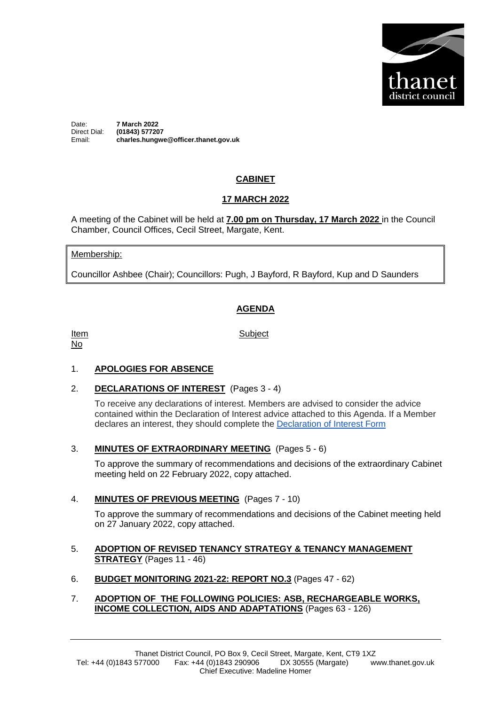

Date: **7 March 2022** Direct Dial: **(01843) 577207** Email: **charles.hungwe@officer.thanet.gov.uk**

# **CABINET**

## **17 MARCH 2022**

A meeting of the Cabinet will be held at **7.00 pm on Thursday, 17 March 2022** in the Council Chamber, Council Offices, Cecil Street, Margate, Kent.

#### Membership:

Councillor Ashbee (Chair); Councillors: Pugh, J Bayford, R Bayford, Kup and D Saunders

## **AGENDA**

Item No

**Subject** 

### 1. **APOLOGIES FOR ABSENCE**

2. **DECLARATIONS OF INTEREST** (Pages 3 - 4)

To receive any declarations of interest. Members are advised to consider the advice contained within the Declaration of Interest advice attached to this Agenda. If a Member declares an interest, they should complete the [Declaration of Interest Form](https://docs.google.com/forms/d/e/1FAIpQLSdYy7shF1kh6tvdSh3acxVRm70cKPLFkRBFNyVx2TgejRcm4w/viewform?usp=sf_link)

3. **MINUTES OF EXTRAORDINARY MEETING** (Pages 5 - 6)

To approve the summary of recommendations and decisions of the extraordinary Cabinet meeting held on 22 February 2022, copy attached.

4. **MINUTES OF PREVIOUS MEETING** (Pages 7 - 10)

To approve the summary of recommendations and decisions of the Cabinet meeting held on 27 January 2022, copy attached.

- 5. **ADOPTION OF REVISED TENANCY STRATEGY & TENANCY MANAGEMENT STRATEGY** (Pages 11 - 46)
- 6. **BUDGET MONITORING 2021-22: REPORT NO.3** (Pages 47 62)
- 7. **ADOPTION OF THE FOLLOWING POLICIES: ASB, RECHARGEABLE WORKS, INCOME COLLECTION, AIDS AND ADAPTATIONS** (Pages 63 - 126)